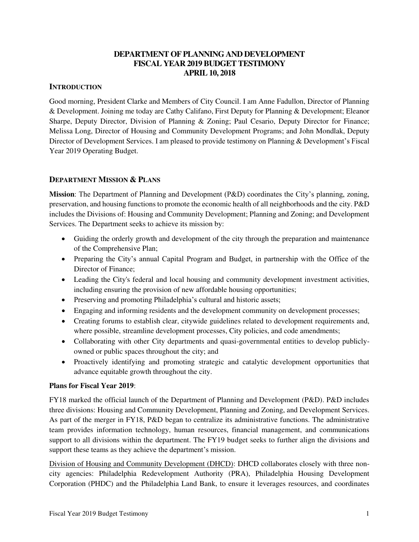### **DEPARTMENT OF PLANNING AND DEVELOPMENT FISCAL YEAR 2019 BUDGET TESTIMONY APRIL 10, 2018**

### **INTRODUCTION**

Good morning, President Clarke and Members of City Council. I am Anne Fadullon, Director of Planning & Development. Joining me today are Cathy Califano, First Deputy for Planning & Development; Eleanor Sharpe, Deputy Director, Division of Planning & Zoning; Paul Cesario, Deputy Director for Finance; Melissa Long, Director of Housing and Community Development Programs; and John Mondlak, Deputy Director of Development Services. I am pleased to provide testimony on Planning & Development's Fiscal Year 2019 Operating Budget.

#### **DEPARTMENT MISSION & PLANS**

**Mission**: The Department of Planning and Development (P&D) coordinates the City's planning, zoning, preservation, and housing functions to promote the economic health of all neighborhoods and the city. P&D includes the Divisions of: Housing and Community Development; Planning and Zoning; and Development Services. The Department seeks to achieve its mission by:

- Guiding the orderly growth and development of the city through the preparation and maintenance of the Comprehensive Plan;
- Preparing the City's annual Capital Program and Budget, in partnership with the Office of the Director of Finance;
- Leading the City's federal and local housing and community development investment activities, including ensuring the provision of new affordable housing opportunities;
- Preserving and promoting Philadelphia's cultural and historic assets;
- Engaging and informing residents and the development community on development processes;
- Creating forums to establish clear, citywide guidelines related to development requirements and, where possible, streamline development processes, City policies, and code amendments;
- Collaborating with other City departments and quasi-governmental entities to develop publiclyowned or public spaces throughout the city; and
- Proactively identifying and promoting strategic and catalytic development opportunities that advance equitable growth throughout the city.

#### **Plans for Fiscal Year 2019**:

FY18 marked the official launch of the Department of Planning and Development (P&D). P&D includes three divisions: Housing and Community Development, Planning and Zoning, and Development Services. As part of the merger in FY18, P&D began to centralize its administrative functions. The administrative team provides information technology, human resources, financial management, and communications support to all divisions within the department. The FY19 budget seeks to further align the divisions and support these teams as they achieve the department's mission.

Division of Housing and Community Development (DHCD): DHCD collaborates closely with three noncity agencies: Philadelphia Redevelopment Authority (PRA), Philadelphia Housing Development Corporation (PHDC) and the Philadelphia Land Bank, to ensure it leverages resources, and coordinates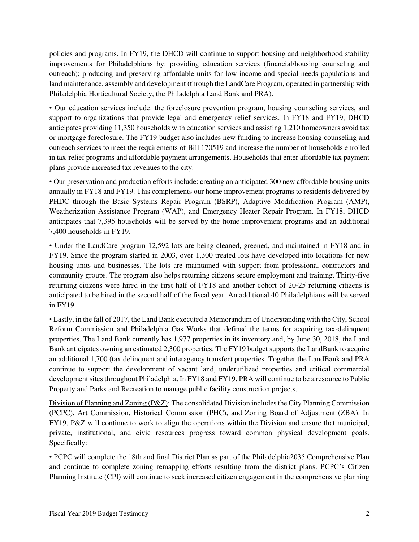policies and programs. In FY19, the DHCD will continue to support housing and neighborhood stability improvements for Philadelphians by: providing education services (financial/housing counseling and outreach); producing and preserving affordable units for low income and special needs populations and land maintenance, assembly and development (through the LandCare Program, operated in partnership with Philadelphia Horticultural Society, the Philadelphia Land Bank and PRA).

• Our education services include: the foreclosure prevention program, housing counseling services, and support to organizations that provide legal and emergency relief services. In FY18 and FY19, DHCD anticipates providing 11,350 households with education services and assisting 1,210 homeowners avoid tax or mortgage foreclosure. The FY19 budget also includes new funding to increase housing counseling and outreach services to meet the requirements of Bill 170519 and increase the number of households enrolled in tax-relief programs and affordable payment arrangements. Households that enter affordable tax payment plans provide increased tax revenues to the city.

• Our preservation and production efforts include: creating an anticipated 300 new affordable housing units annually in FY18 and FY19. This complements our home improvement programs to residents delivered by PHDC through the Basic Systems Repair Program (BSRP), Adaptive Modification Program (AMP), Weatherization Assistance Program (WAP), and Emergency Heater Repair Program. In FY18, DHCD anticipates that 7,395 households will be served by the home improvement programs and an additional 7,400 households in FY19.

• Under the LandCare program 12,592 lots are being cleaned, greened, and maintained in FY18 and in FY19. Since the program started in 2003, over 1,300 treated lots have developed into locations for new housing units and businesses. The lots are maintained with support from professional contractors and community groups. The program also helps returning citizens secure employment and training. Thirty-five returning citizens were hired in the first half of FY18 and another cohort of 20-25 returning citizens is anticipated to be hired in the second half of the fiscal year. An additional 40 Philadelphians will be served in FY19.

• Lastly, in the fall of 2017, the Land Bank executed a Memorandum of Understanding with the City, School Reform Commission and Philadelphia Gas Works that defined the terms for acquiring tax-delinquent properties. The Land Bank currently has 1,977 properties in its inventory and, by June 30, 2018, the Land Bank anticipates owning an estimated 2,300 properties. The FY19 budget supports the LandBank to acquire an additional 1,700 (tax delinquent and interagency transfer) properties. Together the LandBank and PRA continue to support the development of vacant land, underutilized properties and critical commercial development sites throughout Philadelphia. In FY18 and FY19, PRA will continue to be a resource to Public Property and Parks and Recreation to manage public facility construction projects.

Division of Planning and Zoning (P&Z): The consolidated Division includes the City Planning Commission (PCPC), Art Commission, Historical Commission (PHC), and Zoning Board of Adjustment (ZBA). In FY19, P&Z will continue to work to align the operations within the Division and ensure that municipal, private, institutional, and civic resources progress toward common physical development goals. Specifically:

• PCPC will complete the 18th and final District Plan as part of the Philadelphia2035 Comprehensive Plan and continue to complete zoning remapping efforts resulting from the district plans. PCPC's Citizen Planning Institute (CPI) will continue to seek increased citizen engagement in the comprehensive planning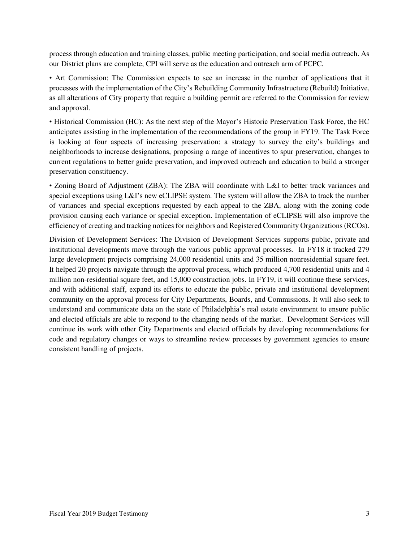process through education and training classes, public meeting participation, and social media outreach. As our District plans are complete, CPI will serve as the education and outreach arm of PCPC.

• Art Commission: The Commission expects to see an increase in the number of applications that it processes with the implementation of the City's Rebuilding Community Infrastructure (Rebuild) Initiative, as all alterations of City property that require a building permit are referred to the Commission for review and approval.

• Historical Commission (HC): As the next step of the Mayor's Historic Preservation Task Force, the HC anticipates assisting in the implementation of the recommendations of the group in FY19. The Task Force is looking at four aspects of increasing preservation: a strategy to survey the city's buildings and neighborhoods to increase designations, proposing a range of incentives to spur preservation, changes to current regulations to better guide preservation, and improved outreach and education to build a stronger preservation constituency.

• Zoning Board of Adjustment (ZBA): The ZBA will coordinate with L&I to better track variances and special exceptions using L&I's new eCLIPSE system. The system will allow the ZBA to track the number of variances and special exceptions requested by each appeal to the ZBA, along with the zoning code provision causing each variance or special exception. Implementation of eCLIPSE will also improve the efficiency of creating and tracking notices for neighbors and Registered Community Organizations (RCOs).

Division of Development Services: The Division of Development Services supports public, private and institutional developments move through the various public approval processes. In FY18 it tracked 279 large development projects comprising 24,000 residential units and 35 million nonresidential square feet. It helped 20 projects navigate through the approval process, which produced 4,700 residential units and 4 million non-residential square feet, and 15,000 construction jobs. In FY19, it will continue these services, and with additional staff, expand its efforts to educate the public, private and institutional development community on the approval process for City Departments, Boards, and Commissions. It will also seek to understand and communicate data on the state of Philadelphia's real estate environment to ensure public and elected officials are able to respond to the changing needs of the market. Development Services will continue its work with other City Departments and elected officials by developing recommendations for code and regulatory changes or ways to streamline review processes by government agencies to ensure consistent handling of projects.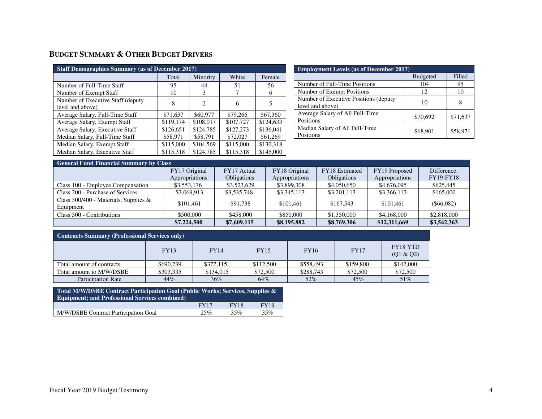# **BUDGET SUMMARY & OTHER BUDGET DRIVERS**

| <b>Staff Demographics Summary (as of December 2017)</b> |           |           |           |           |  |  |  |  |  |
|---------------------------------------------------------|-----------|-----------|-----------|-----------|--|--|--|--|--|
|                                                         | Total     | Minority  | White     | Female    |  |  |  |  |  |
| Number of Full-Time Staff                               | 95        | 44        | 51        | 56        |  |  |  |  |  |
| Number of Exempt Staff                                  | 10        | 3         |           | 6         |  |  |  |  |  |
| Number of Executive Staff (deputy)<br>level and above)  | 8         | 2         | 6         | 5         |  |  |  |  |  |
| Average Salary, Full-Time Staff                         | \$71,637  | \$60,977  | \$79,266  | \$67,360  |  |  |  |  |  |
| Average Salary, Exempt Staff                            | \$119,174 | \$108,017 | \$107,727 | \$124,633 |  |  |  |  |  |
| Average Salary, Executive Staff                         | \$126,651 | \$124,785 | \$127,273 | \$136,041 |  |  |  |  |  |
| Median Salary, Full-Time Staff                          | \$58,971  | \$58,791  | \$72,027  | \$61,269  |  |  |  |  |  |
| Median Salary, Exempt Staff                             | \$115,000 | \$104,569 | \$115,000 | \$130,318 |  |  |  |  |  |
| Median Salary, Executive Staff                          | \$115,318 | \$124,785 | \$115,318 | \$145,000 |  |  |  |  |  |

| <b>Employment Levels (as of December 2017)</b> |                 |          |  |  |  |  |  |  |
|------------------------------------------------|-----------------|----------|--|--|--|--|--|--|
|                                                | <b>Budgeted</b> | Filled   |  |  |  |  |  |  |
| Number of Full-Time Positions                  | 104             | 95       |  |  |  |  |  |  |
| Number of Exempt Positions                     | 12              | 10       |  |  |  |  |  |  |
| Number of Executive Positions (deputy)         | 10              |          |  |  |  |  |  |  |
| level and above)                               |                 |          |  |  |  |  |  |  |
| Average Salary of All Full-Time                | \$70,692        | \$71,637 |  |  |  |  |  |  |
| Positions                                      |                 |          |  |  |  |  |  |  |
| Median Salary of All Full-Time                 | \$68,901        | \$58,971 |  |  |  |  |  |  |
| Positions                                      |                 |          |  |  |  |  |  |  |

# **General Fund Financial Summary by Class**

|                                          | FY17 Original  | FY17 Actual        | FY18 Original  | FY18 Estimated     | FY19 Proposed  | Difference:      |
|------------------------------------------|----------------|--------------------|----------------|--------------------|----------------|------------------|
|                                          | Appropriations | <b>Obligations</b> | Appropriations | <b>Obligations</b> | Appropriations | <b>FY19-FY18</b> |
| Class 100 - Employee Compensation        | \$3,553,176    | \$3,523,629        | \$3,899,308    | \$4,050,650        | \$4,676,095    | \$625,445        |
| Class 200 - Purchase of Services         | \$3,069,913    | \$3,535,748        | \$3,345,113    | \$3,201,113        | \$3,366,113    | \$165,000        |
| Class 300/400 - Materials, Supplies $\&$ | \$101.461      | \$91,738           | \$101.461      | \$167.543          | \$101.461      | $($ \$66,082)    |
| Equipment                                |                |                    |                |                    |                |                  |
| Class 500 - Contributions                | \$500,000      | \$458,000          | \$850,000      | \$1,350,000        | \$4,168,000    | \$2,818,000      |
|                                          | \$7,224,500    | \$7,609,115        | \$8,195,882    | \$8,769,306        | \$12,311,669   | \$3,542,363      |

| <b>Contracts Summary (Professional Services only)</b> |             |             |             |             |             |                              |  |  |  |
|-------------------------------------------------------|-------------|-------------|-------------|-------------|-------------|------------------------------|--|--|--|
|                                                       | <b>FY13</b> | <b>FY14</b> | <b>FY15</b> | <b>FY16</b> | <b>FY17</b> | <b>FY18 YTD</b><br>(Q1 & Q2) |  |  |  |
| Total amount of contracts                             | \$690,239   | \$377,115   | \$112,500   | \$558,493   | \$159,800   | \$142,000                    |  |  |  |
| Total amount to M/W/DSBE                              | \$303,335   | \$134,015   | \$72,500    | \$288,743   | \$72,500    | \$72,500                     |  |  |  |
| <b>Participation Rate</b>                             | 44%         | 36%         | 64%         | 52%         | 45%         | 51%                          |  |  |  |

| Total M/W/DSBE Contract Participation Goal (Public Works; Services, Supplies &<br><b>Equipment: and Professional Services combined)</b> |             |             |      |  |  |  |  |
|-----------------------------------------------------------------------------------------------------------------------------------------|-------------|-------------|------|--|--|--|--|
|                                                                                                                                         | <b>FY17</b> | <b>FY18</b> | FY19 |  |  |  |  |
| M/W/DSBE Contract Participation Goal                                                                                                    | 25%         | 35%         | 35%  |  |  |  |  |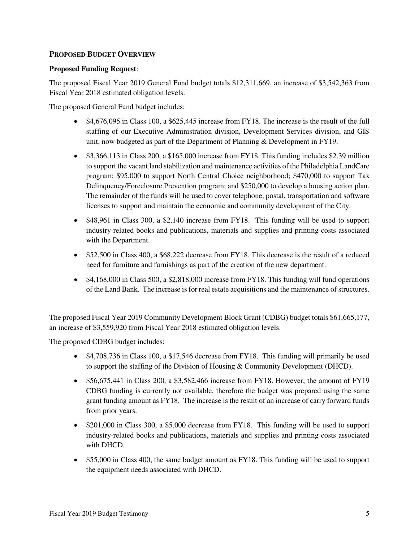### **PROPOSED BUDGET OVERVIEW**

#### **Proposed Funding Request**:

The proposed Fiscal Year 2019 General Fund budget totals \$12,311,669, an increase of \$3,542,363 from Fiscal Year 2018 estimated obligation levels.

The proposed General Fund budget includes:

- \$4,676,095 in Class 100, a \$625,445 increase from FY18. The increase is the result of the full staffing of our Executive Administration division, Development Services division, and GIS unit, now budgeted as part of the Department of Planning & Development in FY19.
- \$3,366,113 in Class 200, a \$165,000 increase from FY18. This funding includes \$2.39 million to support the vacant land stabilization and maintenance activities of the Philadelphia LandCare program; \$95,000 to support North Central Choice neighborhood; \$470,000 to support Tax Delinquency/Foreclosure Prevention program; and \$250,000 to develop a housing action plan. The remainder of the funds will be used to cover telephone, postal, transportation and software licenses to support and maintain the economic and community development of the City.
- \$48,961 in Class 300, a \$2,140 increase from FY18. This funding will be used to support industry-related books and publications, materials and supplies and printing costs associated with the Department.
- \$52,500 in Class 400, a \$68,222 decrease from FY18. This decrease is the result of a reduced need for furniture and furnishings as part of the creation of the new department.
- \$4,168,000 in Class 500, a \$2,818,000 increase from FY18. This funding will fund operations of the Land Bank. The increase is for real estate acquisitions and the maintenance of structures.

The proposed Fiscal Year 2019 Community Development Block Grant (CDBG) budget totals \$61,665,177, an increase of \$3,559,920 from Fiscal Year 2018 estimated obligation levels.

The proposed CDBG budget includes:

- \$4,708,736 in Class 100, a \$17,546 decrease from FY18. This funding will primarily be used to support the staffing of the Division of Housing & Community Development (DHCD).
- \$56,675,441 in Class 200, a \$3,582,466 increase from FY18. However, the amount of FY19 CDBG funding is currently not available, therefore the budget was prepared using the same grant funding amount as FY18. The increase is the result of an increase of carry forward funds from prior years.
- \$201,000 in Class 300, a \$5,000 decrease from FY18. This funding will be used to support industry-related books and publications, materials and supplies and printing costs associated with DHCD.
- \$55,000 in Class 400, the same budget amount as FY18. This funding will be used to support the equipment needs associated with DHCD.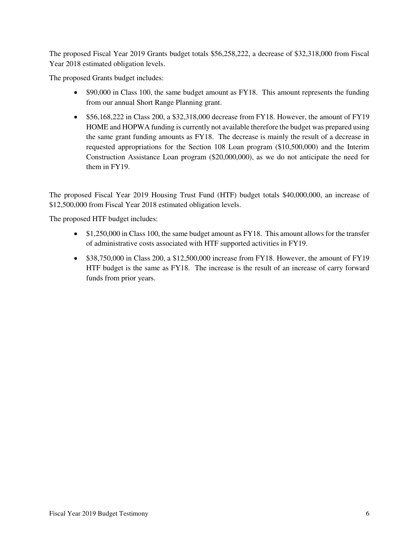The proposed Fiscal Year 2019 Grants budget totals \$56,258,222, a decrease of \$32,318,000 from Fiscal Year 2018 estimated obligation levels.

The proposed Grants budget includes:

- \$90,000 in Class 100, the same budget amount as FY18. This amount represents the funding from our annual Short Range Planning grant.
- \$56,168,222 in Class 200, a \$32,318,000 decrease from FY18. However, the amount of FY19 HOME and HOPWA funding is currently not available therefore the budget was prepared using the same grant funding amounts as FY18. The decrease is mainly the result of a decrease in requested appropriations for the Section 108 Loan program (\$10,500,000) and the Interim Construction Assistance Loan program (\$20,000,000), as we do not anticipate the need for them in FY19.

The proposed Fiscal Year 2019 Housing Trust Fund (HTF) budget totals \$40,000,000, an increase of \$12,500,000 from Fiscal Year 2018 estimated obligation levels.

The proposed HTF budget includes:

- \$1,250,000 in Class 100, the same budget amount as FY18. This amount allows for the transfer of administrative costs associated with HTF supported activities in FY19.
- \$38,750,000 in Class 200, a \$12,500,000 increase from FY18. However, the amount of FY19 HTF budget is the same as FY18. The increase is the result of an increase of carry forward funds from prior years.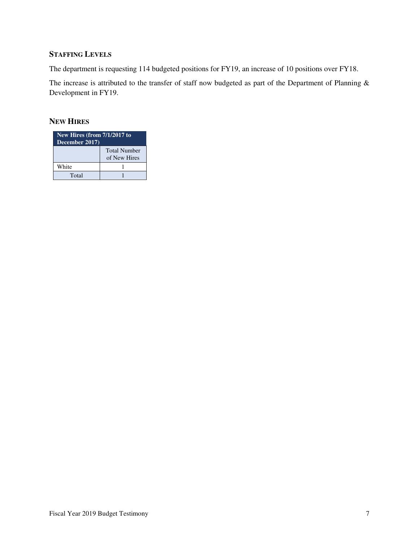## **STAFFING LEVELS**

The department is requesting 114 budgeted positions for FY19, an increase of 10 positions over FY18.

The increase is attributed to the transfer of staff now budgeted as part of the Department of Planning & Development in FY19.

### **NEW HIRES**

| New Hires (from 7/1/2017 to<br>December 2017) |                                     |  |  |  |  |  |
|-----------------------------------------------|-------------------------------------|--|--|--|--|--|
|                                               | <b>Total Number</b><br>of New Hires |  |  |  |  |  |
| White                                         |                                     |  |  |  |  |  |
| Total                                         |                                     |  |  |  |  |  |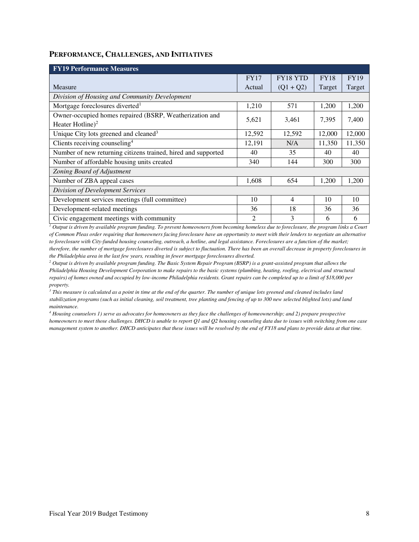#### **PERFORMANCE, CHALLENGES, AND INITIATIVES**

| <b>FY19 Performance Measures</b>                              |                |                 |             |             |  |  |  |  |  |  |
|---------------------------------------------------------------|----------------|-----------------|-------------|-------------|--|--|--|--|--|--|
|                                                               | <b>FY17</b>    | <b>FY18 YTD</b> | <b>FY18</b> | <b>FY19</b> |  |  |  |  |  |  |
| Measure                                                       | Actual         | $(Q1 + Q2)$     | Target      | Target      |  |  |  |  |  |  |
| Division of Housing and Community Development                 |                |                 |             |             |  |  |  |  |  |  |
| Mortgage foreclosures diverted <sup>1</sup>                   | 1,210          | 571             | 1,200       | 1,200       |  |  |  |  |  |  |
| Owner-occupied homes repaired (BSRP, Weatherization and       | 5,621          |                 | 7,395       | 7,400       |  |  |  |  |  |  |
| Heater Hotline) <sup>2</sup>                                  |                | 3,461           |             |             |  |  |  |  |  |  |
| Unique City lots greened and cleaned <sup>3</sup>             | 12,592         | 12,592          | 12,000      | 12,000      |  |  |  |  |  |  |
| Clients receiving counseling <sup>4</sup>                     | 12,191         | N/A             | 11,350      | 11,350      |  |  |  |  |  |  |
| Number of new returning citizens trained, hired and supported | 40             | 35              | 40          | 40          |  |  |  |  |  |  |
| Number of affordable housing units created                    | 340            | 144             | 300         | 300         |  |  |  |  |  |  |
| Zoning Board of Adjustment                                    |                |                 |             |             |  |  |  |  |  |  |
| Number of ZBA appeal cases                                    | 1,608          | 654             | 1,200       | 1,200       |  |  |  |  |  |  |
| Division of Development Services                              |                |                 |             |             |  |  |  |  |  |  |
| Development services meetings (full committee)                | 10             | $\overline{4}$  | 10          | 10          |  |  |  |  |  |  |
| Development-related meetings                                  | 36             | 18              | 36          | 36          |  |  |  |  |  |  |
| Civic engagement meetings with community                      | $\mathfrak{D}$ | 3               | 6           | 6           |  |  |  |  |  |  |

*1 Output is driven by available program funding. To prevent homeowners from becoming homeless due to foreclosure, the program links a Court of Common Pleas order requiring that homeowners facing foreclosure have an opportunity to meet with their lenders to negotiate an alternative to foreclosure with City-funded housing counseling, outreach, a hotline, and legal assistance. Foreclosures are a function of the market; therefore, the number of mortgage foreclosures diverted is subject to fluctuation. There has been an overall decrease in property foreclosures in the Philadelphia area in the last few years, resulting in fewer mortgage foreclosures diverted.* 

*2 Output is driven by available program funding. The Basic System Repair Program (BSRP) is a grant-assisted program that allows the Philadelphia Housing Development Corporation to make repairs to the basic systems (plumbing, heating, roofing, electrical and structural repairs) of homes owned and occupied by low-income Philadelphia residents. Grant repairs can be completed up to a limit of \$18,000 per property.* 

*3 This measure is calculated as a point in time at the end of the quarter. The number of unique lots greened and cleaned includes land stabilization programs (such as initial cleaning, soil treatment, tree planting and fencing of up to 300 new selected blighted lots) and land maintenance.* 

*4 Housing counselors 1) serve as advocates for homeowners as they face the challenges of homeownership; and 2) prepare prospective homeowners to meet those challenges. DHCD is unable to report Q1 and Q2 housing counseling data due to issues with switching from one case management system to another. DHCD anticipates that these issues will be resolved by the end of FY18 and plans to provide data at that time.*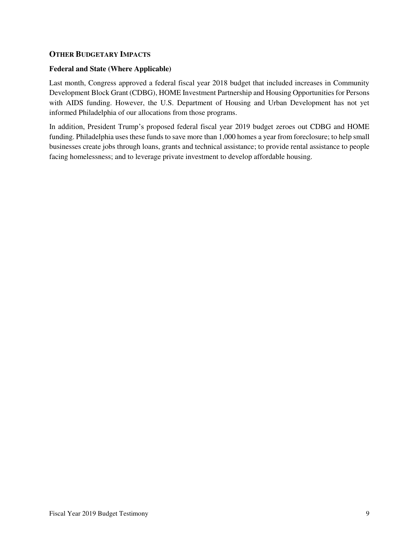#### **OTHER BUDGETARY IMPACTS**

#### **Federal and State (Where Applicable)**

Last month, Congress approved a federal fiscal year 2018 budget that included increases in Community Development Block Grant (CDBG), HOME Investment Partnership and Housing Opportunities for Persons with AIDS funding. However, the U.S. Department of Housing and Urban Development has not yet informed Philadelphia of our allocations from those programs.

In addition, President Trump's proposed federal fiscal year 2019 budget zeroes out CDBG and HOME funding. Philadelphia uses these funds to save more than 1,000 homes a year from foreclosure; to help small businesses create jobs through loans, grants and technical assistance; to provide rental assistance to people facing homelessness; and to leverage private investment to develop affordable housing.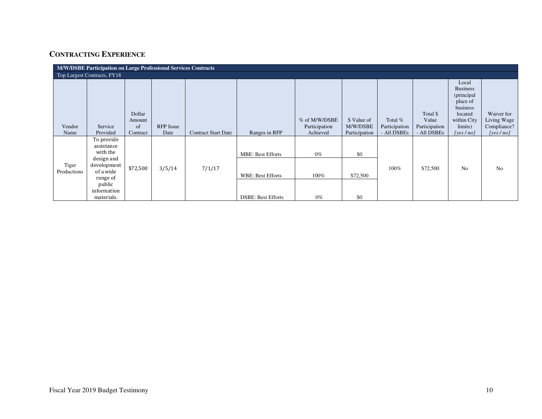# **CONTRACTING EXPERIENCE**

| <b>M/W/DSBE Participation on Large Professional Services Contracts</b> |                                                                                                                                   |                                    |                   |                            |                                                                                   |                                            |                                          |                                         |                                                   |                                                                                                                 |                                                      |
|------------------------------------------------------------------------|-----------------------------------------------------------------------------------------------------------------------------------|------------------------------------|-------------------|----------------------------|-----------------------------------------------------------------------------------|--------------------------------------------|------------------------------------------|-----------------------------------------|---------------------------------------------------|-----------------------------------------------------------------------------------------------------------------|------------------------------------------------------|
| Top Largest Contracts, FY18                                            |                                                                                                                                   |                                    |                   |                            |                                                                                   |                                            |                                          |                                         |                                                   |                                                                                                                 |                                                      |
| Vendor<br>Name                                                         | Service<br>Provided                                                                                                               | Dollar<br>Amount<br>of<br>Contract | RFP Issue<br>Date | <b>Contract Start Date</b> | Ranges in RFP                                                                     | % of M/W/DSBE<br>Participation<br>Achieved | \$ Value of<br>M/W/DSBE<br>Participation | Total %<br>Participation<br>- All DSBEs | Total \$<br>Value<br>Participation<br>- All DSBEs | Local<br><b>Business</b><br>(principal<br>place of<br>business<br>located<br>within City<br>limits)<br>[ves/no] | Waiver for<br>Living Wage<br>Compliance?<br>[yes/no] |
| Tiger<br>Productions                                                   | To provide<br>assistance<br>with the<br>design and<br>development<br>of a wide<br>range of<br>public<br>information<br>materials. | \$72,500                           | 3/5/14            | 7/1/17                     | <b>MBE: Best Efforts</b><br><b>WBE: Best Efforts</b><br><b>DSBE: Best Efforts</b> | $0\%$<br>100%<br>$0\%$                     | \$0<br>\$72,500<br>\$0                   | 100%                                    | \$72,500                                          | N <sub>o</sub>                                                                                                  | N <sub>o</sub>                                       |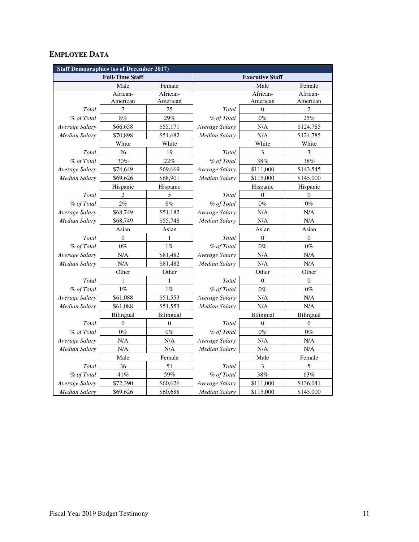# **EMPLOYEE DATA**

| <b>Staff Demographics (as of December 2017)</b> |                        |                  |                      |                        |                  |  |  |  |
|-------------------------------------------------|------------------------|------------------|----------------------|------------------------|------------------|--|--|--|
|                                                 | <b>Full-Time Staff</b> |                  |                      | <b>Executive Staff</b> |                  |  |  |  |
|                                                 | Male                   | Female           |                      | Male                   | Female           |  |  |  |
|                                                 | African-               | African-         |                      | African-               | African-         |  |  |  |
|                                                 | American               | American         |                      | American               | American         |  |  |  |
| Total                                           | 7                      | 25               | Total                | $\overline{0}$         | $\overline{2}$   |  |  |  |
| % of Total                                      | 8%                     | 29%              | % of Total           | $0\%$                  | 25%              |  |  |  |
| Average Salary                                  | \$66,658               | \$55,171         | Average Salary       | N/A                    | \$124,785        |  |  |  |
| Median Salary                                   | \$70,898               | \$51,682         | Median Salary        | N/A                    | \$124,785        |  |  |  |
|                                                 | White                  | White            |                      | White                  | White            |  |  |  |
| Total                                           | 26                     | 19               | Total                | 3                      | 3                |  |  |  |
| % of Total                                      | 30%                    | 22%              | % of Total           | 38%                    | 38%              |  |  |  |
| Average Salary                                  | \$74,649               | \$69,669         | Average Salary       | \$111,000              | \$143,545        |  |  |  |
| <b>Median Salary</b>                            | \$69,626               | \$68,901         | Median Salary        | \$115,000              | \$145,000        |  |  |  |
|                                                 | Hispanic               | Hispanic         |                      | Hispanic               | Hispanic         |  |  |  |
| Total                                           | 2                      | 5                | Total                | $\theta$               | $\overline{0}$   |  |  |  |
| % of Total                                      | 2%                     | $6\%$            | % of Total           | $0\%$                  | $0\%$            |  |  |  |
| Average Salary                                  | \$68,749               | \$51,182         | Average Salary       | N/A                    | N/A              |  |  |  |
| <b>Median Salary</b>                            | \$68,749               | \$55,748         | Median Salary        | N/A                    | N/A              |  |  |  |
|                                                 | Asian                  | Asian            |                      | Asian                  | Asian            |  |  |  |
| Total                                           | $\overline{0}$         | 1                | Total                | $\mathbf{0}$           | $\boldsymbol{0}$ |  |  |  |
| % of Total                                      | $0\%$                  | $1\%$            | % of Total           | $0\%$                  | $0\%$            |  |  |  |
| Average Salary                                  | N/A                    | \$81,482         | Average Salary       | N/A                    | N/A              |  |  |  |
| Median Salary                                   | N/A                    | \$81,482         | N/A<br>Median Salary |                        | N/A              |  |  |  |
|                                                 | Other                  | Other            |                      | Other                  | Other            |  |  |  |
| Total                                           | 1                      | 1                | Total                | $\mathbf{0}$           | $\overline{0}$   |  |  |  |
| % of Total                                      | $1\%$                  | $1\%$            | % of Total           | $0\%$                  | $0\%$            |  |  |  |
| Average Salary                                  | \$61,088               | \$51,553         | Average Salary       | N/A                    | N/A              |  |  |  |
| Median Salary                                   | \$61,088               | \$51,553         | Median Salary        | N/A                    | N/A              |  |  |  |
|                                                 | Bilingual              | Bilingual        |                      | Bilingual              | Bilingual        |  |  |  |
| Total                                           | $\mathbf{0}$           | $\boldsymbol{0}$ | Total                | $\mathbf{0}$           | $\overline{0}$   |  |  |  |
| % of Total                                      | $0\%$                  | $0\%$            | % of Total           | $0\%$                  | $0\%$            |  |  |  |
| Average Salary                                  | N/A                    | N/A              | Average Salary       | N/A                    | N/A              |  |  |  |
| <b>Median Salary</b>                            | N/A                    | N/A              | <b>Median Salary</b> | N/A                    | N/A              |  |  |  |
|                                                 | Male                   | Female           |                      | Male                   | Female           |  |  |  |
| Total                                           | 36                     | 51               | Total                | $\mathfrak{Z}$         | 5                |  |  |  |
| % of Total                                      | 41%                    | 59%              | % of Total           | 38%                    | 63%              |  |  |  |
| Average Salary                                  | \$72,390               | \$60,626         | Average Salary       | \$111,000              | \$136,041        |  |  |  |
| <b>Median Salary</b>                            | \$69,626               | \$60,688         | <b>Median Salary</b> | \$115,000              | \$145,000        |  |  |  |